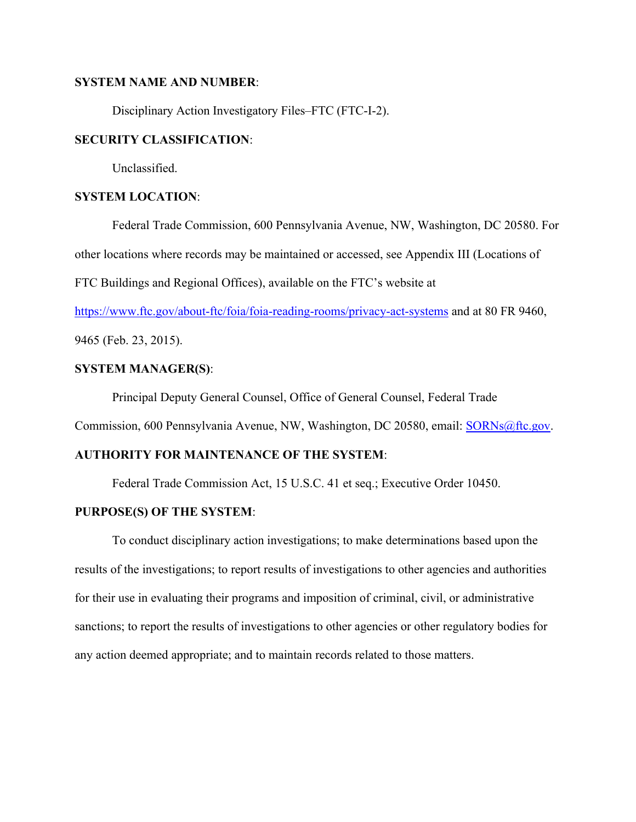## **SYSTEM NAME AND NUMBER**:

Disciplinary Action Investigatory Files–FTC (FTC-I-2).

## **SECURITY CLASSIFICATION**:

Unclassified.

# **SYSTEM LOCATION**:

Federal Trade Commission, 600 Pennsylvania Avenue, NW, Washington, DC 20580. For other locations where records may be maintained or accessed, see Appendix III (Locations of FTC Buildings and Regional Offices), available on the FTC's website at

https://www.ftc.gov/about-ftc/foia/foia-reading-rooms/privacy-act-systems and at 80 FR 9460,

9465 (Feb. 23, 2015).

# **SYSTEM MANAGER(S)**:

Principal Deputy General Counsel, Office of General Counsel, Federal Trade

Commission, 600 Pennsylvania Avenue, NW, Washington, DC 20580, email: SORNs@ftc.gov.

## **AUTHORITY FOR MAINTENANCE OF THE SYSTEM**:

Federal Trade Commission Act, 15 U.S.C. 41 et seq.; Executive Order 10450.

## **PURPOSE(S) OF THE SYSTEM**:

To conduct disciplinary action investigations; to make determinations based upon the results of the investigations; to report results of investigations to other agencies and authorities for their use in evaluating their programs and imposition of criminal, civil, or administrative sanctions; to report the results of investigations to other agencies or other regulatory bodies for any action deemed appropriate; and to maintain records related to those matters.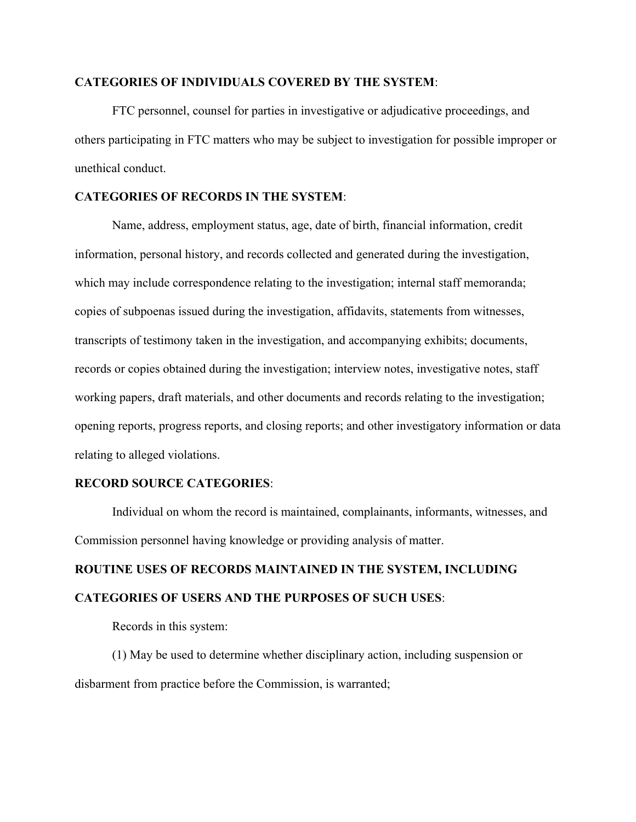#### **CATEGORIES OF INDIVIDUALS COVERED BY THE SYSTEM**:

FTC personnel, counsel for parties in investigative or adjudicative proceedings, and others participating in FTC matters who may be subject to investigation for possible improper or unethical conduct.

# **CATEGORIES OF RECORDS IN THE SYSTEM**:

Name, address, employment status, age, date of birth, financial information, credit information, personal history, and records collected and generated during the investigation, which may include correspondence relating to the investigation; internal staff memoranda; copies of subpoenas issued during the investigation, affidavits, statements from witnesses, transcripts of testimony taken in the investigation, and accompanying exhibits; documents, records or copies obtained during the investigation; interview notes, investigative notes, staff working papers, draft materials, and other documents and records relating to the investigation; opening reports, progress reports, and closing reports; and other investigatory information or data relating to alleged violations.

#### **RECORD SOURCE CATEGORIES**:

Individual on whom the record is maintained, complainants, informants, witnesses, and Commission personnel having knowledge or providing analysis of matter.

# **ROUTINE USES OF RECORDS MAINTAINED IN THE SYSTEM, INCLUDING CATEGORIES OF USERS AND THE PURPOSES OF SUCH USES**:

Records in this system:

(1) May be used to determine whether disciplinary action, including suspension or disbarment from practice before the Commission, is warranted;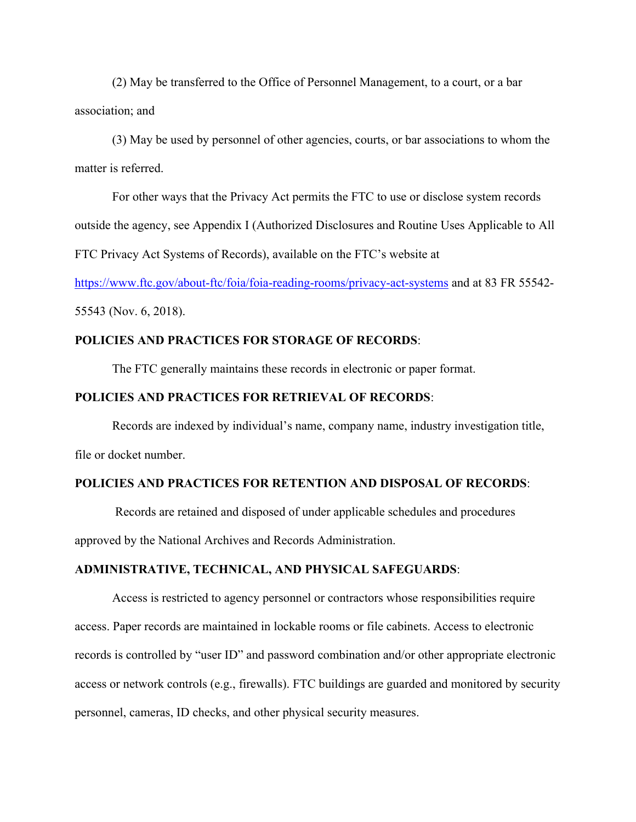(2) May be transferred to the Office of Personnel Management, to a court, or a bar association; and

(3) May be used by personnel of other agencies, courts, or bar associations to whom the matter is referred.

For other ways that the Privacy Act permits the FTC to use or disclose system records outside the agency, see Appendix I (Authorized Disclosures and Routine Uses Applicable to All FTC Privacy Act Systems of Records), available on the FTC's website at

https://www.ftc.gov/about-ftc/foia/foia-reading-rooms/privacy-act-systems and at 83 FR 55542-

55543 (Nov. 6, 2018).

## **POLICIES AND PRACTICES FOR STORAGE OF RECORDS**:

The FTC generally maintains these records in electronic or paper format.

#### **POLICIES AND PRACTICES FOR RETRIEVAL OF RECORDS**:

 Records are indexed by individual's name, company name, industry investigation title, file or docket number.

## **POLICIES AND PRACTICES FOR RETENTION AND DISPOSAL OF RECORDS**:

 Records are retained and disposed of under applicable schedules and procedures approved by the National Archives and Records Administration.

## **ADMINISTRATIVE, TECHNICAL, AND PHYSICAL SAFEGUARDS**:

Access is restricted to agency personnel or contractors whose responsibilities require access. Paper records are maintained in lockable rooms or file cabinets. Access to electronic records is controlled by "user ID" and password combination and/or other appropriate electronic access or network controls (e.g., firewalls). FTC buildings are guarded and monitored by security personnel, cameras, ID checks, and other physical security measures.